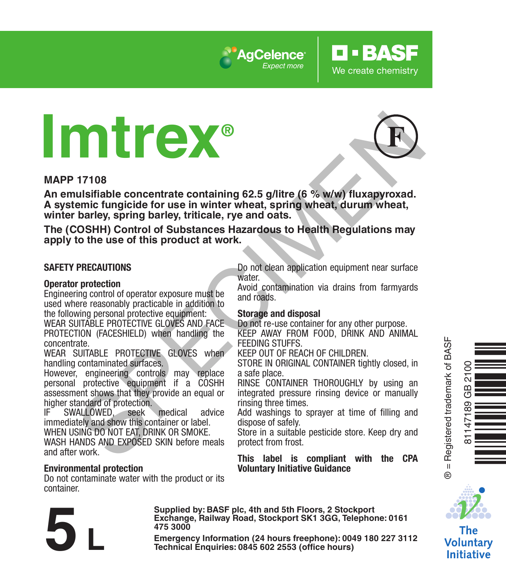

# **Imtrex®**



**O** · BASE

We create chemistry

#### **MAPP 17108**

**An emulsifiable concentrate containing 62.5 g/litre (6 % w/w) fluxapyroxad. A systemic fungicide for use in winter wheat, spring wheat, durum wheat, winter barley, spring barley, triticale, rye and oats.** Through the concentrate containing 62.5 g/litre (6 % w/w) flux approvals<br>
unificate concentrate containing 62.5 g/litre (6 % w/w) flux approvals<br>
emic fungicide for use in winter wheat, spring wheat, durum wheat,<br>
barley,

**The (COSHH) Control of Substances Hazardous to Health Regulations may apply to the use of this product at work.**

#### **SAFETY PRECAUTIONS**

#### **Operator protection**

Engineering control of operator exposure must be used where reasonably practicable in addition to the following personal protective equipment:

WEAR SUITABLE PROTECTIVE GLOVES AND FACE PROTECTION (FACESHIELD) when handling the concentrate.

WEAR SUITABLE PROTECTIVE GLOVES when handling contaminated surfaces.

However, engineering controls may replace personal protective equipment if a COSHH assessment shows that they provide an equal or higher standard of protection.<br>IF SWALLOWED seek

SWALLOWED, seek medical advice immediately and show this container or label.

WHEN USING DO NOT FAT, DRINK OR SMOKE.

WASH HANDS AND EXPOSED SKIN before meals and after work.

#### **Environmental protection**

Do not contaminate water with the product or its container.

Do not clean application equipment near surface water

Avoid contamination via drains from farmyards and roads.

#### **Storage and disposal**

Do not re-use container for any other purpose. KEEP AWAY FROM FOOD, DRINK AND ANIMAL FEEDING STUFFS.

KEEP OUT OF REACH OF CHILDREN.

STORE IN ORIGINAL CONTAINER tightly closed, in a safe place.

RINSE CONTAINER THOROUGHLY by using an integrated pressure rinsing device or manually rinsing three times.

Add washings to sprayer at time of filling and dispose of safely.

Store in a suitable pesticide store. Keep dry and protect from frost.

**This label is compliant with the CPA Voluntary Initiative Guidance**



Òq.gy<br>Öq.gy

® = Registered trademark of BASF

 $\ddot{\circ}$ 

81147189 GB 2100

The Voluntarv **Initiative** 

**Exchange, Railway Road, Stockport SK1 3GG, Telephone: 0161 475 3000** Exchange, Rallway Road, Stockport SK1 3GG, Telephone: 0161<br>
475 3000<br>
Emergency Information (24 hours freephone): 0049 180 227 3112<br>
Technical Enquiries: 0845 602 2553 (office hours)

**Supplied by: BASF plc, 4th and 5th Floors, 2 Stockport**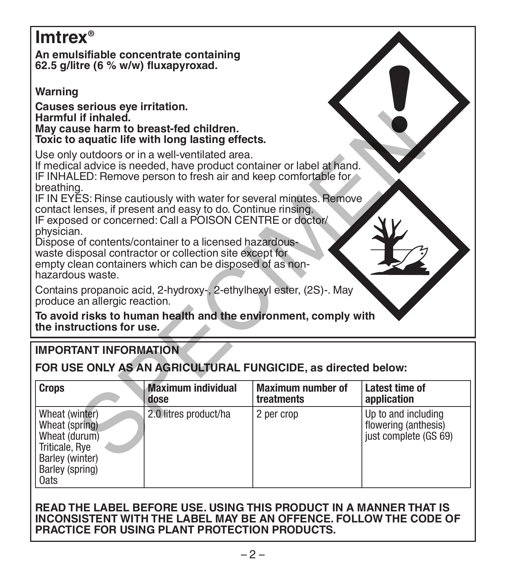# **Imtrex®**

**An emulsifiable concentrate containing 62.5 g/litre (6 % w/w) fluxapyroxad.** 

**Warning**

**Causes serious eye irritation. Harmful if inhaled. May cause harm to breast-fed children. Toxic to aquatic life with long lasting effects.**

# **IMPORTANT INFORMATION**

| Harmful if inhaled.<br>May cause harm to breast-fed children.<br>Toxic to aquatic life with long lasting effects.                                                                                                                                                                                                                                                                                                 |                                   |                                                                     |                               |  |  |  |  |  |  |
|-------------------------------------------------------------------------------------------------------------------------------------------------------------------------------------------------------------------------------------------------------------------------------------------------------------------------------------------------------------------------------------------------------------------|-----------------------------------|---------------------------------------------------------------------|-------------------------------|--|--|--|--|--|--|
| Use only outdoors or in a well-ventilated area.<br>If medical advice is needed, have product container or label at hand.<br>IF INHALED: Remove person to fresh air and keep comfortable for<br>breathing.                                                                                                                                                                                                         |                                   |                                                                     |                               |  |  |  |  |  |  |
| IF IN EYES: Rinse cautiously with water for several minutes. Remove<br>contact lenses, if present and easy to do. Continue rinsing.<br>IF exposed or concerned: Call a POISON CENTRE or doctor/<br>physician.<br>Dispose of contents/container to a licensed hazardous-<br>waste disposal contractor or collection site except for<br>empty clean containers which can be disposed of as non-<br>hazardous waste. |                                   |                                                                     |                               |  |  |  |  |  |  |
|                                                                                                                                                                                                                                                                                                                                                                                                                   |                                   | Contains propanoic acid, 2-hydroxy-, 2-ethylhexyl ester, (2S)-. May |                               |  |  |  |  |  |  |
| produce an allergic reaction.                                                                                                                                                                                                                                                                                                                                                                                     |                                   |                                                                     |                               |  |  |  |  |  |  |
| To avoid risks to human health and the environment, comply with<br>the instructions for use.                                                                                                                                                                                                                                                                                                                      |                                   |                                                                     |                               |  |  |  |  |  |  |
| <b>IMPORTANT INFORMATION</b>                                                                                                                                                                                                                                                                                                                                                                                      |                                   |                                                                     |                               |  |  |  |  |  |  |
| FOR USE ONLY AS AN AGRICULTURAL FUNGICIDE, as directed below:                                                                                                                                                                                                                                                                                                                                                     |                                   |                                                                     |                               |  |  |  |  |  |  |
| <b>Crops</b>                                                                                                                                                                                                                                                                                                                                                                                                      | <b>Maximum individual</b><br>dose | <b>Maximum number of</b><br>treatments                              | Latest time of<br>application |  |  |  |  |  |  |

#### **READ THE LABEL BEFORE USE. USING THIS PRODUCT IN A MANNER THAT IS INCONSISTENT WITH THE LABEL MAY BE AN OFFENCE. FOLLOW THE CODE OF PRACTICE FOR USING PLANT PROTECTION PRODUCTS.**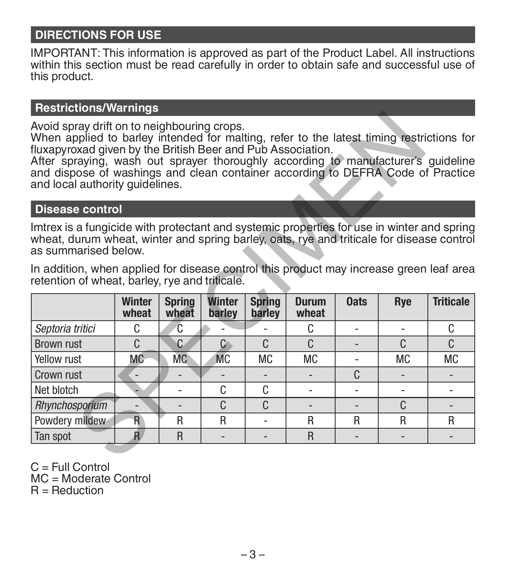# **DIRECTIONS FOR USE**

IMPORTANT: This information is approved as part of the Product Label. All instructions within this section must be read carefully in order to obtain safe and successful use of this product.

# **Restrictions/Warnings**

#### **Disease control**

| In addition, when applied for disease control this product may increase green leaf area |  |  |  |  |  |  |
|-----------------------------------------------------------------------------------------|--|--|--|--|--|--|
| retention of wheat, barley, rye and triticale.                                          |  |  |  |  |  |  |

| Avoid spray drift on to neighbouring crops.<br>When applied to barley intended for malting, refer to the latest timing restrictions for<br>fluxapyroxad given by the British Beer and Pub Association.<br>After spraying, wash out sprayer thoroughly according to manufacturer's guideline<br>and dispose of washings and clean container according to DEFRA Code of Practice<br>and local authority quidelines. |                                                       |           |               |              |           |   |           |           |  |  |
|-------------------------------------------------------------------------------------------------------------------------------------------------------------------------------------------------------------------------------------------------------------------------------------------------------------------------------------------------------------------------------------------------------------------|-------------------------------------------------------|-----------|---------------|--------------|-----------|---|-----------|-----------|--|--|
| <b>Disease control</b>                                                                                                                                                                                                                                                                                                                                                                                            |                                                       |           |               |              |           |   |           |           |  |  |
| Imtrex is a fungicide with protectant and systemic properties for use in winter and spring<br>wheat, durum wheat, winter and spring barley, oats, rye and triticale for disease control<br>as summarised below.<br>In addition, when applied for disease control this product may increase green leaf area<br>retention of wheat, barley, rye and triticale.                                                      |                                                       |           |               |              |           |   |           |           |  |  |
| Winter<br><b>Triticale</b><br>Winter<br><b>Oats</b><br><b>Spring</b><br><b>Spring</b><br><b>Durum</b><br>Rye                                                                                                                                                                                                                                                                                                      |                                                       |           |               |              |           |   |           |           |  |  |
|                                                                                                                                                                                                                                                                                                                                                                                                                   | wheat                                                 | wheat     | barley        | barley       | wheat     |   |           |           |  |  |
| Septoria tritici                                                                                                                                                                                                                                                                                                                                                                                                  | C.                                                    | C         |               |              | C         |   |           | C         |  |  |
| <b>Brown rust</b>                                                                                                                                                                                                                                                                                                                                                                                                 | C.                                                    | C         | $\mathcal{C}$ | $\mathsf{C}$ | C         |   | C         | C.        |  |  |
| Yellow rust                                                                                                                                                                                                                                                                                                                                                                                                       | <b>MC</b>                                             | <b>MC</b> | <b>MC</b>     | <b>MC</b>    | <b>MC</b> |   | <b>MC</b> | <b>MC</b> |  |  |
| Crown rust                                                                                                                                                                                                                                                                                                                                                                                                        |                                                       |           |               |              |           | C |           |           |  |  |
| Net blotch                                                                                                                                                                                                                                                                                                                                                                                                        |                                                       |           | C.            | C            |           |   | ٠         |           |  |  |
| Rhynchosporium                                                                                                                                                                                                                                                                                                                                                                                                    |                                                       |           | $\mathsf{C}$  | C            |           |   | C         |           |  |  |
| Powdery mildew                                                                                                                                                                                                                                                                                                                                                                                                    | R                                                     | R         | R             |              | R         | R | R         | R         |  |  |
| Tan spot                                                                                                                                                                                                                                                                                                                                                                                                          | R.<br>$\overline{R}$<br>R<br>$\overline{\phantom{0}}$ |           |               |              |           |   |           |           |  |  |
|                                                                                                                                                                                                                                                                                                                                                                                                                   |                                                       |           |               |              |           |   |           |           |  |  |

 $C = Full Control$ MC = Moderate Control R = Reduction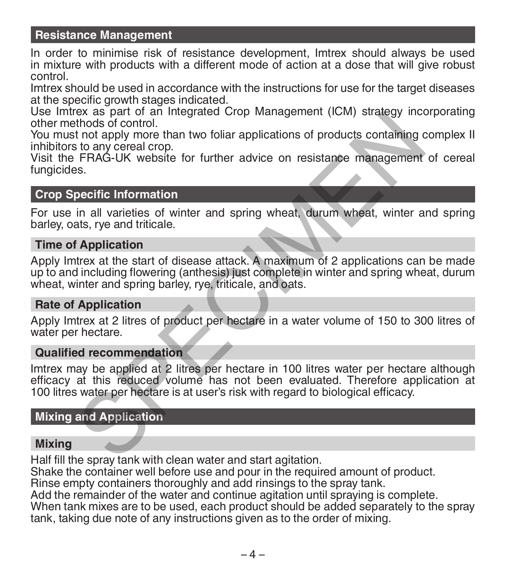### **Resistance Management**

In order to minimise risk of resistance development, Imtrex should always be used in mixture with products with a different mode of action at a dose that will give robust control.

Imtrex should be used in accordance with the instructions for use for the target diseases at the specific growth stages indicated.

Use Imtrex as part of an Integrated Crop Management (ICM) strategy incorporating other methods of control.

You must not apply more than two foliar applications of products containing complex II inhibitors to any cereal crop.

Visit the FRAG-UK website for further advice on resistance management of cereal fungicides.

#### **Crop Specific Information**

For use in all varieties of winter and spring wheat, durum wheat, winter and spring barley, oats, rye and triticale.

#### **Time of Application**

Apply Imtrex at the start of disease attack. A maximum of 2 applications can be made up to and including flowering (anthesis) just complete in winter and spring wheat, durum wheat, winter and spring barley, rye, triticale, and oats. by a as part of an intergrated COp Mariagement (iciviry strategy inct<br>thods of control.<br>thods of control.<br>The properator of products containing c<br>sto any cerator operator.<br>FRAG-UK website for further advice on resistance m

#### **Rate of Application**

Apply Imtrex at 2 litres of product per hectare in a water volume of 150 to 300 litres of water per hectare.

#### **Qualified recommendation**

Imtrex may be applied at 2 litres per hectare in 100 litres water per hectare although efficacy at this reduced volume has not been evaluated. Therefore application at 100 litres water per hectare is at user's risk with regard to biological efficacy.

#### **Mixing and Application**

#### **Mixing**

Half fill the spray tank with clean water and start agitation.

Shake the container well before use and pour in the required amount of product.

Rinse empty containers thoroughly and add rinsings to the spray tank.

Add the remainder of the water and continue agitation until spraying is complete.

When tank mixes are to be used, each product should be added separately to the spray tank, taking due note of any instructions given as to the order of mixing.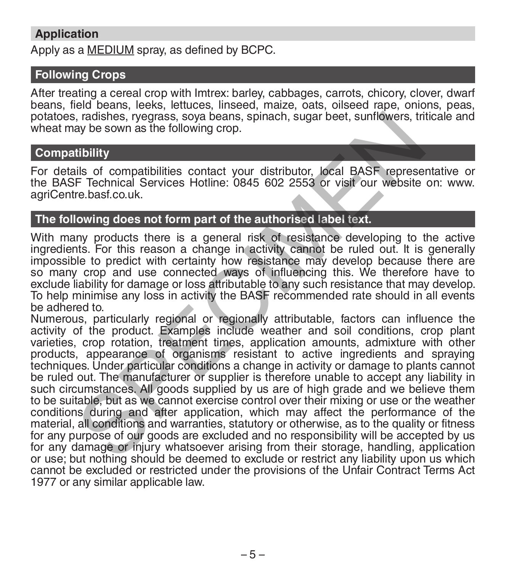# **Application**

Apply as a MEDIUM spray, as defined by BCPC.

# **Following Crops**

After treating a cereal crop with Imtrex: barley, cabbages, carrots, chicory, clover, dwarf beans, field beans, leeks, lettuces, linseed, maize, oats, oilseed rape, onions, peas, potatoes, radishes, ryegrass, soya beans, spinach, sugar beet, sunflowers, triticale and wheat may be sown as the following crop.

#### **Compatibility**

For details of compatibilities contact your distributor, local BASF representative or the BASF Technical Services Hotline: 0845 602 2553 or visit our website on: www. agriCentre.basf.co.uk.

### **The following does not form part of the authorised label text.**

With many products there is a general risk of resistance developing to the active ingredients. For this reason a change in activity cannot be ruled out. It is generally impossible to predict with certainty how resistance may develop because there are so many crop and use connected ways of influencing this. We therefore have to exclude liability for damage or loss attributable to any such resistance that may develop. To help minimise any loss in activity the BASF recommended rate should in all events be adhered to.

Numerous, particularly regional or regionally attributable, factors can influence the activity of the product. Examples include weather and soil conditions, crop plant varieties, crop rotation, treatment times, application amounts, admixture with other products, appearance of organisms resistant to active ingredients and spraying techniques. Under particular conditions a change in activity or damage to plants cannot be ruled out. The manufacturer or supplier is therefore unable to accept any liability in such circumstances. All goods supplied by us are of high grade and we believe them to be suitable, but as we cannot exercise control over their mixing or use or the weather conditions during and after application, which may affect the performance of the material, all conditions and warranties, statutory or otherwise, as to the quality or fitness for any purpose of our goods are excluded and no responsibility will be accepted by us for any damage or injury whatsoever arising from their storage, handling, application or use; but nothing should be deemed to exclude or restrict any liability upon us which cannot be excluded or restricted under the provisions of the Unfair Contract Terms Act 1977 or any similar applicable l aw.i, radishes, ryegrass, soya beans, spinach, sugar beet, sunflowers, triticale<br>ay be sown as the following crop.<br>Tibility<br>ay be sown as the following crop.<br>Tibility<br>IS of compatibilities contact your distributor, local BASF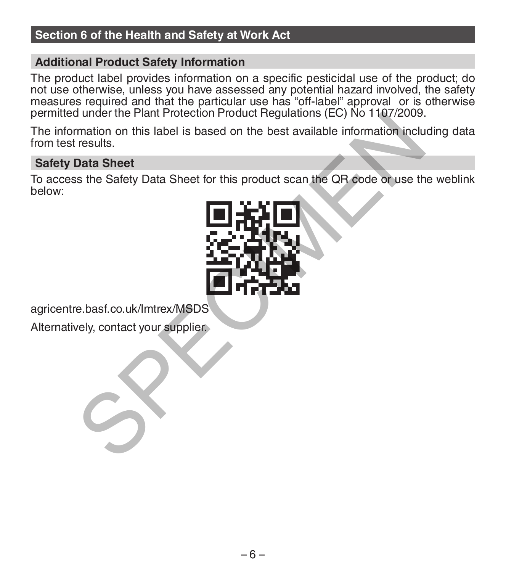# **Section 6 of the Health and Safety at Work Act**

### **Additional Product Safety Information**

The product label provides information on a specific pesticidal use of the product; do not use otherwise, unless you have assessed any potential hazard involved, the safety measures required and that the particular use has "off-label" approval or is otherwise permitted under the Plant Protection Product Regulations (EC) No 1107/2009.

The information on this label is based on the best available information including data from test results.

#### **Safety Data Sheet**

To access the Safety Data Sheet for this product scan the QR code or use the weblink below:



agricentre.basf.co.uk/Imtrex/MSDS

Alternatively, contact your supplier.